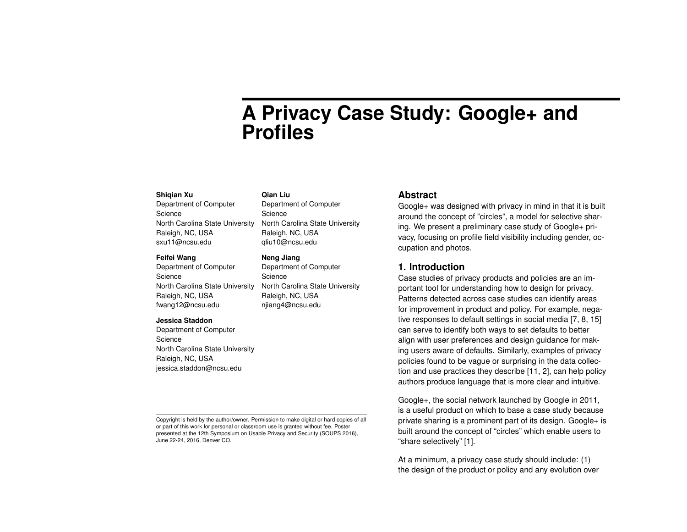# **A Privacy Case Study: Google+ and Profiles**

#### **Shiqian Xu**

Department of Computer Science North Carolina State University Raleigh, NC, USA sxu11@ncsu.edu

#### **Feifei Wang**

Department of Computer Science North Carolina State University Raleigh, NC, USA fwang12@ncsu.edu

#### **Jessica Staddon**

Department of Computer Science North Carolina State University Raleigh, NC, USA jessica.staddon@ncsu.edu

Copyright is held by the author/owner. Permission to make digital or hard copies of all or part of this work for personal or classroom use is granted without fee. Poster presented at the 12th Symposium on Usable Privacy and Security (SOUPS 2016), June 22-24, 2016, Denver CO.

## **Qian Liu**

Department of Computer Science North Carolina State University Raleigh, NC, USA qliu10@ncsu.edu

#### **Neng Jiang**

Department of Computer Science North Carolina State University Raleigh, NC, USA njiang4@ncsu.edu

### **Abstract**

Google+ was designed with privacy in mind in that it is built around the concept of "circles", a model for selective sharing. We present a preliminary case study of Google+ privacy, focusing on profile field visibility including gender, occupation and photos.

# **1. Introduction**

Case studies of privacy products and policies are an important tool for understanding how to design for privacy. Patterns detected across case studies can identify areas for improvement in product and policy. For example, negative responses to default settings in social media [\[7,](#page-4-0) [8,](#page-4-1) [15\]](#page-4-2) can serve to identify both ways to set defaults to better align with user preferences and design guidance for making users aware of defaults. Similarly, examples of privacy policies found to be vague or surprising in the data collection and use practices they describe [\[11,](#page-4-3) [2\]](#page-3-0), can help policy authors produce language that is more clear and intuitive.

Google+, the social network launched by Google in 2011, is a useful product on which to base a case study because private sharing is a prominent part of its design. Google+ is built around the concept of "circles" which enable users to "share selectively" [\[1\]](#page-3-1).

At a minimum, a privacy case study should include: (1) the design of the product or policy and any evolution over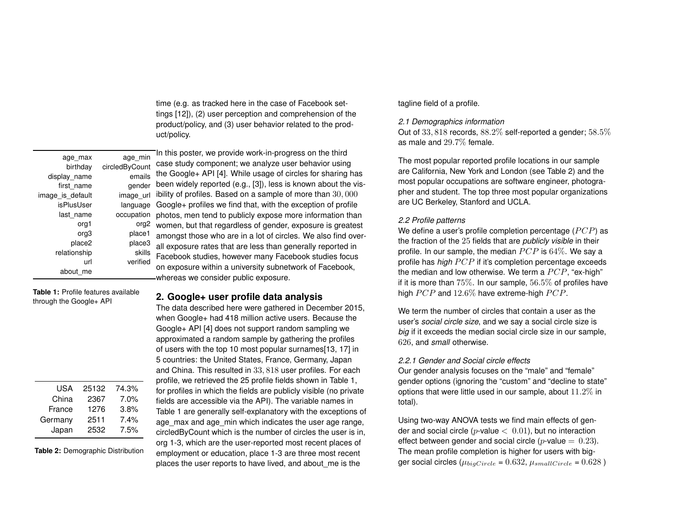time (e.g. as tracked here in the case of Facebook settings [\[12\]](#page-4-4)), (2) user perception and comprehension of the product/policy, and (3) user behavior related to the product/policy.

| age min          | age max          |
|------------------|------------------|
| circledByCount   | birthday         |
| emails           | display name     |
| gender           | first name       |
| image url        | image_is_default |
| language         | isPlusUser       |
| occupation       | last name        |
| org <sub>2</sub> | org1             |
| place1           | org3             |
| place3           | place2           |
| skills           | relationship     |
| verified         | url              |
|                  | about me         |

<span id="page-1-0"></span>**Table 1:** Profile features available through the Google+ API

| USA     | 25132 | 74.3% |
|---------|-------|-------|
| China   | 2367  | 7.0%  |
| France  | 1276  | 3.8%  |
| Germany | 2511  | 7.4%  |
| Japan   | 2532  | 7.5%  |

<span id="page-1-1"></span>**Table 2:** Demographic Distribution

In this poster, we provide work-in-progress on the third case study component; we analyze user behavior using the Google+ API [\[4\]](#page-4-5). While usage of circles for sharing has <sub>er</sub> been widely reported (e.g., [\[3\]](#page-4-6)), less is known about the vis- $_{\text{II}}$  ibility of profiles. Based on a sample of more than 30,000 Google+ profiles we find that, with the exception of profile n photos, men tend to publicly expose more information than  $1<sup>2</sup>$  women, but that regardless of gender, exposure is greatest amongst those who are in a lot of circles. We also find overall exposure rates that are less than generally reported in Facebook studies, however many Facebook studies focus on exposure within a university subnetwork of Facebook, whereas we consider public exposure.

# **2. Google+ user profile data analysis**

The data described here were gathered in December 2015, when Google+ had 418 million active users. Because the Google+ API [\[4\]](#page-4-5) does not support random sampling we approximated a random sample by gathering the profiles of users with the top 10 most popular surnames[\[13,](#page-4-7) [17\]](#page-4-8) in 5 countries: the United States, France, Germany, Japan and China. This resulted in 33, 818 user profiles. For each profile, we retrieved the 25 profile fields shown in Table [1,](#page-1-0) for profiles in which the fields are publicly visible (no private fields are accessible via the API). The variable names in Table [1](#page-1-0) are generally self-explanatory with the exceptions of age max and age min which indicates the user age range, circledByCount which is the number of circles the user is in, org 1-3, which are the user-reported most recent places of employment or education, place 1-3 are three most recent places the user reports to have lived, and about\_me is the

## tagline field of a profile.

### *2.1 Demographics information*

Out of 33, 818 records, 88.2% self-reported a gender; 58.5% as male and 29.7% female.

The most popular reported profile locations in our sample are California, New York and London (see Table [2\)](#page-1-1) and the most popular occupations are software engineer, photographer and student. The top three most popular organizations are UC Berkeley, Stanford and UCLA.

## *2.2 Profile patterns*

We define a user's profile completion percentage  $(PCP)$  as the fraction of the 25 fields that are *publicly visible* in their profile. In our sample, the median  $PCP$  is  $64\%$ . We say a profile has *high PCP* if it's completion percentage exceeds the median and low otherwise. We term a  $PCP$ , "ex-high" if it is more than  $75\%$ . In our sample,  $56.5\%$  of profiles have high  $PCP$  and  $12.6\%$  have extreme-high  $PCP$ .

We term the number of circles that contain a user as the user's *social circle size*, and we say a social circle size is *big* if it exceeds the median social circle size in our sample, 626, and *small* otherwise.

## *2.2.1 Gender and Social circle effects*

Our gender analysis focuses on the "male" and "female" gender options (ignoring the "custom" and "decline to state" options that were little used in our sample, about 11.2% in total).

Using two-way ANOVA tests we find main effects of gender and social circle ( $p$ -value  $<$  0.01), but no interaction effect between gender and social circle (*p*-value  $= 0.23$ ). The mean profile completion is higher for users with bigger social circles ( $\mu_{biaCircle} = 0.632$ ,  $\mu_{smallCircle} = 0.628$ )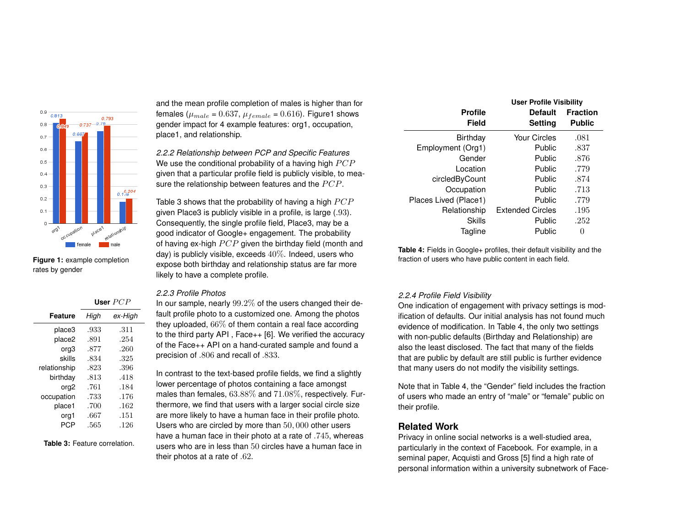

<span id="page-2-0"></span>**Figure 1:** example completion rates by gender

|                  | User $PCP$ |         |  |
|------------------|------------|---------|--|
| Feature          | High       | ex-High |  |
| place3           | .933       | .311    |  |
| place2           | .891       | .254    |  |
| org3             | .877       | .260    |  |
| skills           | .834       | .325    |  |
| relationship     | .823       | .396    |  |
| birthday         | .813       | .418    |  |
| org <sub>2</sub> | .761       | .184    |  |
| occupation       | .733       | .176    |  |
| place1           | .700       | .162    |  |
| org1             | .667       | .151    |  |
| PCP              | .565       | .126    |  |

<span id="page-2-1"></span>**Table 3:** Feature correlation.

and the mean profile completion of males is higher than for females ( $\mu_{male} = 0.637$ ,  $\mu_{female} = 0.616$ ). Figur[e1](#page-2-0) shows gender impact for 4 example features: org1, occupation, place1, and relationship.

*2.2.2 Relationship between PCP and Specific Features* We use the conditional probability of a having high  $PCP$ given that a particular profile field is publicly visible, to measure the relationship between features and the  $PCP$ .

Table [3](#page-2-1) shows that the probability of having a high  $PCP$ given Place3 is publicly visible in a profile, is large (.93). Consequently, the single profile field, Place3, may be a good indicator of Google+ engagement. The probability of having ex-high  $PCP$  given the birthday field (month and day) is publicly visible, exceeds  $40\%$ . Indeed, users who expose both birthday and relationship status are far more likely to have a complete profile.

#### *2.2.3 Profile Photos*

In our sample, nearly 99.2% of the users changed their default profile photo to a customized one. Among the photos they uploaded, 66% of them contain a real face according to the third party API , Face++ [\[6\]](#page-4-9). We verified the accuracy of the Face++ API on a hand-curated sample and found a precision of .806 and recall of .833.

In contrast to the text-based profile fields, we find a slightly lower percentage of photos containing a face amongst males than females, 63.88% and 71.08%, respectively. Furthermore, we find that users with a larger social circle size are more likely to have a human face in their profile photo. Users who are circled by more than 50, 000 other users have a human face in their photo at a rate of .745, whereas users who are in less than 50 circles have a human face in their photos at a rate of .62.

<span id="page-2-2"></span>

|                       | <b>User Profile Visibility</b> |                 |  |
|-----------------------|--------------------------------|-----------------|--|
| <b>Profile</b>        | <b>Default</b>                 | <b>Fraction</b> |  |
| Field                 | <b>Setting</b>                 | <b>Public</b>   |  |
| <b>Birthday</b>       | <b>Your Circles</b>            | .081            |  |
| Employment (Org1)     | Public                         | .837            |  |
| Gender                | Public                         | .876            |  |
| Location              | Public                         | .779            |  |
| circledByCount        | Public                         | .874            |  |
| Occupation            | Public                         | .713            |  |
| Places Lived (Place1) | Public                         | .779            |  |
| Relationship          | <b>Extended Circles</b>        | .195            |  |
| Skills                | Public                         | .252            |  |
| Tagline               | Public                         | $\theta$        |  |

**Table 4:** Fields in Google+ profiles, their default visibility and the fraction of users who have public content in each field.

#### *2.2.4 Profile Field Visibility*

One indication of engagement with privacy settings is modification of defaults. Our initial analysis has not found much evidence of modification. In Table [4,](#page-2-2) the only two settings with non-public defaults (Birthday and Relationship) are also the least disclosed. The fact that many of the fields that are public by default are still public is further evidence that many users do not modify the visibility settings.

Note that in Table [4,](#page-2-2) the "Gender" field includes the fraction of users who made an entry of "male" or "female" public on their profile.

# **Related Work**

Privacy in online social networks is a well-studied area, particularly in the context of Facebook. For example, in a seminal paper, Acquisti and Gross [\[5\]](#page-4-10) find a high rate of personal information within a university subnetwork of Face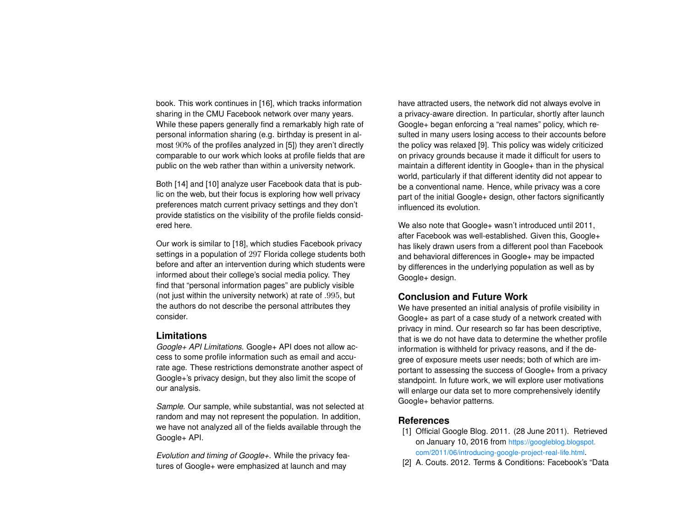book. This work continues in [\[16\]](#page-4-11), which tracks information sharing in the CMU Facebook network over many years. While these papers generally find a remarkably high rate of personal information sharing (e.g. birthday is present in almost 90% of the profiles analyzed in [\[5\]](#page-4-10)) they aren't directly comparable to our work which looks at profile fields that are public on the web rather than within a university network.

Both [\[14\]](#page-4-12) and [\[10\]](#page-4-13) analyze user Facebook data that is public on the web, but their focus is exploring how well privacy preferences match current privacy settings and they don't provide statistics on the visibility of the profile fields considered here.

Our work is similar to [\[18\]](#page-4-14), which studies Facebook privacy settings in a population of 297 Florida college students both before and after an intervention during which students were informed about their college's social media policy. They find that "personal information pages" are publicly visible (not just within the university network) at rate of .995, but the authors do not describe the personal attributes they consider.

#### **Limitations**

*Google+ API Limitations.* Google+ API does not allow access to some profile information such as email and accurate age. These restrictions demonstrate another aspect of Google+'s privacy design, but they also limit the scope of our analysis.

*Sample.* Our sample, while substantial, was not selected at random and may not represent the population. In addition, we have not analyzed all of the fields available through the Google+ API.

*Evolution and timing of Google+.* While the privacy features of Google+ were emphasized at launch and may

have attracted users, the network did not always evolve in a privacy-aware direction. In particular, shortly after launch Google+ began enforcing a "real names" policy, which resulted in many users losing access to their accounts before the policy was relaxed [\[9\]](#page-4-15). This policy was widely criticized on privacy grounds because it made it difficult for users to maintain a different identity in Google+ than in the physical world, particularly if that different identity did not appear to be a conventional name. Hence, while privacy was a core part of the initial Google+ design, other factors significantly influenced its evolution.

We also note that Google+ wasn't introduced until 2011, after Facebook was well-established. Given this, Google+ has likely drawn users from a different pool than Facebook and behavioral differences in Google+ may be impacted by differences in the underlying population as well as by Google+ design.

# **Conclusion and Future Work**

We have presented an initial analysis of profile visibility in Google+ as part of a case study of a network created with privacy in mind. Our research so far has been descriptive, that is we do not have data to determine the whether profile information is withheld for privacy reasons, and if the degree of exposure meets user needs; both of which are important to assessing the success of Google+ from a privacy standpoint. In future work, we will explore user motivations will enlarge our data set to more comprehensively identify Google+ behavior patterns.

# **References**

- <span id="page-3-1"></span>[1] Official Google Blog. 2011. (28 June 2011). Retrieved on January 10, 2016 from [https://googleblog.blogspot.](https://googleblog.blogspot.com/2011/06/introducing-google-project-real-life.html) [com/2011/06/introducing-google-project-real-life.html](https://googleblog.blogspot.com/2011/06/introducing-google-project-real-life.html).
- <span id="page-3-0"></span>[2] A. Couts. 2012. Terms & Conditions: Facebook's "Data